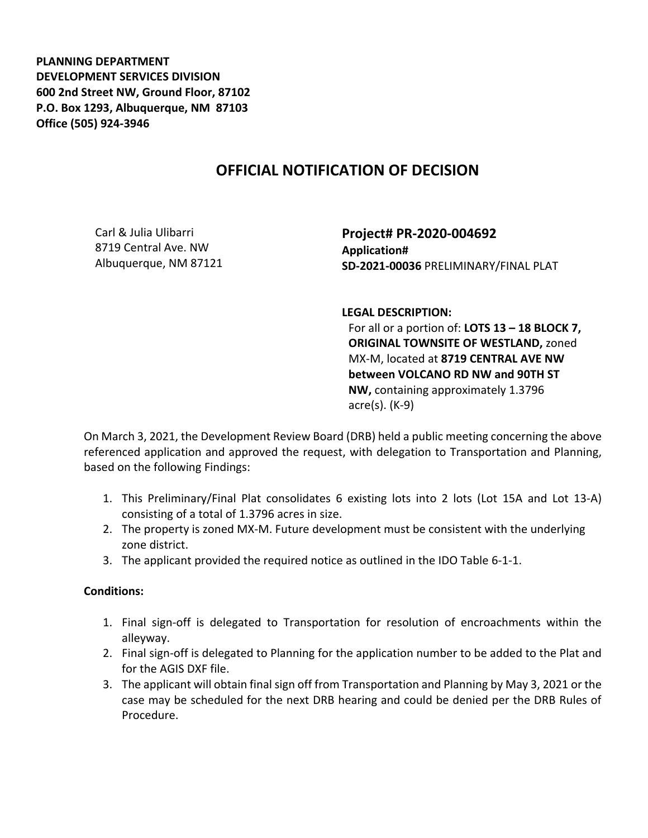**PLANNING DEPARTMENT DEVELOPMENT SERVICES DIVISION 600 2nd Street NW, Ground Floor, 87102 P.O. Box 1293, Albuquerque, NM 87103 Office (505) 924-3946** 

## **OFFICIAL NOTIFICATION OF DECISION**

Carl & Julia Ulibarri 8719 Central Ave. NW Albuquerque, NM 87121 **Project# PR-2020-004692 Application# SD-2021-00036** PRELIMINARY/FINAL PLAT

**LEGAL DESCRIPTION:**

For all or a portion of: **LOTS 13 – 18 BLOCK 7, ORIGINAL TOWNSITE OF WESTLAND,** zoned MX-M, located at **8719 CENTRAL AVE NW between VOLCANO RD NW and 90TH ST NW,** containing approximately 1.3796 acre(s). (K-9)

On March 3, 2021, the Development Review Board (DRB) held a public meeting concerning the above referenced application and approved the request, with delegation to Transportation and Planning, based on the following Findings:

- 1. This Preliminary/Final Plat consolidates 6 existing lots into 2 lots (Lot 15A and Lot 13-A) consisting of a total of 1.3796 acres in size.
- 2. The property is zoned MX-M. Future development must be consistent with the underlying zone district.
- 3. The applicant provided the required notice as outlined in the IDO Table 6-1-1.

## **Conditions:**

- 1. Final sign-off is delegated to Transportation for resolution of encroachments within the alleyway.
- 2. Final sign-off is delegated to Planning for the application number to be added to the Plat and for the AGIS DXF file.
- 3. The applicant will obtain final sign off from Transportation and Planning by May 3, 2021 or the case may be scheduled for the next DRB hearing and could be denied per the DRB Rules of Procedure.